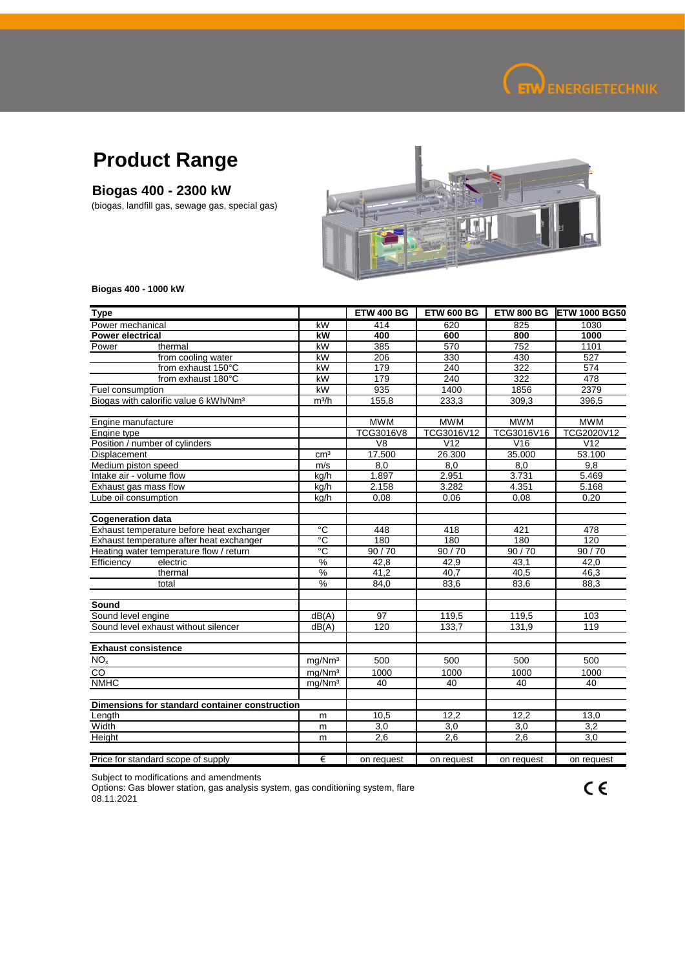

## **Product Range**

## **Biogas 400 - 2300 kW**

(biogas, landfill gas, sewage gas, special gas)



**Biogas 400 - 1000 kW**

| <b>Type</b>                                       |                    | <b>ETW 400 BG</b> | <b>ETW 600 BG</b> | <b>ETW 800 BG</b> | <b>ETW 1000 BG50</b> |
|---------------------------------------------------|--------------------|-------------------|-------------------|-------------------|----------------------|
| Power mechanical                                  | kW                 | 414               | 620               | 825               | 1030                 |
| <b>Power electrical</b>                           | kW                 | 400               | 600               | 800               | 1000                 |
| Power<br>thermal                                  | kW                 | 385               | 570               | 752               | 1101                 |
| from cooling water                                | kW                 | 206               | 330               | 430               | 527                  |
| from exhaust 150°C                                | kW                 | 179               | 240               | 322               | 574                  |
| from exhaust 180°C                                | kW                 | 179               | 240               | 322               | 478                  |
| Fuel consumption                                  | kW                 | 935               | 1400              | 1856              | 2379                 |
| Biogas with calorific value 6 kWh/Nm <sup>3</sup> | $m^3/h$            | 155,8             | 233,3             | 309,3             | 396,5                |
| Engine manufacture                                |                    | <b>MWM</b>        | <b>MWM</b>        | <b>MWM</b>        | <b>MWM</b>           |
| Engine type                                       |                    | TCG3016V8         | TCG3016V12        | TCG3016V16        | TCG2020V12           |
| Position / number of cylinders                    |                    | V <sub>8</sub>    | V <sub>12</sub>   | V16               | V <sub>12</sub>      |
| Displacement                                      | cm <sup>3</sup>    | 17.500            | 26.300            | 35.000            | 53.100               |
| Medium piston speed                               | m/s                | 8.0               | 8.0               | 8.0               | 9.8                  |
| Intake air - volume flow                          | kg/h               | 1.897             | 2.951             | 3.731             | 5.469                |
| Exhaust gas mass flow                             | kg/h               | 2.158             | 3.282             | 4.351             | 5.168                |
| Lube oil consumption                              | kg/h               | 0,08              | 0,06              | 0.08              | 0,20                 |
|                                                   |                    |                   |                   |                   |                      |
| <b>Cogeneration data</b>                          |                    |                   |                   |                   |                      |
| Exhaust temperature before heat exchanger         | °C                 | 448               | 418               | 421               | 478                  |
| Exhaust temperature after heat exchanger          | $\overline{C}$     | 180               | 180               | 180               | 120                  |
| Heating water temperature flow / return           | $^{\circ}$ C       | 90/70             | 90/70             | 90/70             | 90/70                |
| Efficiency<br>electric                            | %                  | 42,8              | 42,9              | 43,1              | 42,0                 |
| thermal                                           | %                  | 41,2              | 40.7              | 40,5              | 46,3                 |
| total                                             | %                  | 84,0              | 83,6              | 83,6              | 88,3                 |
| Sound                                             |                    |                   |                   |                   |                      |
| Sound level engine                                | dB(A)              | 97                | 119,5             | 119.5             | 103                  |
| Sound level exhaust without silencer              | dB(A)              | 120               | 133,7             | 131,9             | 119                  |
|                                                   |                    |                   |                   |                   |                      |
| <b>Exhaust consistence</b>                        |                    |                   |                   |                   |                      |
| $\overline{\text{NO}}_{\text{x}}$                 | mg/Nm <sup>3</sup> | 500               | 500               | 500               | 500                  |
| $\overline{c}$                                    | mg/Nm <sup>3</sup> | 1000              | 1000              | 1000              | 1000                 |
| <b>NMHC</b>                                       | mg/Nm <sup>3</sup> | 40                | 40                | 40                | 40                   |
| Dimensions for standard container construction    |                    |                   |                   |                   |                      |
| Length                                            | m                  | 10,5              | 12,2              | 12,2              | 13,0                 |
| Width                                             | m                  | 3,0               | 3,0               | 3,0               | $\overline{3,2}$     |
| Height                                            | m                  | 2,6               | 2,6               | 2,6               | 3,0                  |
|                                                   |                    |                   |                   |                   |                      |
| Price for standard scope of supply                | €                  | on request        | on request        | on request        | on request           |

Subject to modifications and amendments

Options: Gas blower station, gas analysis system, gas conditioning system, flare 08.11.2021